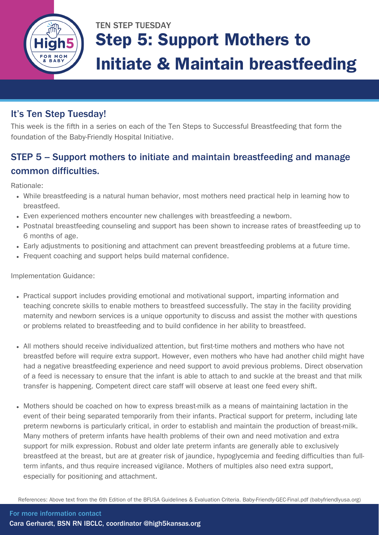

# TEN STEP TUESDAY Step 5: Support Mothers to Initiate & Maintain breastfeeding

### It's Ten Step Tuesday!

This week is the fifth in a series on each of the Ten Steps to Successful Breastfeeding that form the foundation of the Baby-Friendly Hospital Initiative.

### STEP 5 - Support mothers to initiate and maintain breastfeeding and manage common difficulties.

Rationale:

- While breastfeeding is a natural human behavior, most mothers need practical help in learning how to breastfeed.
- Even experienced mothers encounter new challenges with breastfeeding a newborn.
- Postnatal breastfeeding counseling and support has been shown to increase rates of breastfeeding up to 6 months of age.
- Early adjustments to positioning and attachment can prevent breastfeeding problems at a future time.
- Frequent coaching and support helps build maternal confidence.

Implementation Guidance:

- Practical support includes providing emotional and motivational support, imparting information and teaching concrete skills to enable mothers to breastfeed successfully. The stay in the facility providing maternity and newborn services is a unique opportunity to discuss and assist the mother with questions or problems related to breastfeeding and to build confidence in her ability to breastfeed.
- All mothers should receive individualized attention, but first-time mothers and mothers who have not breastfed before will require extra support. However, even mothers who have had another child might have had a negative breastfeeding experience and need support to avoid previous problems. Direct observation of a feed is necessary to ensure that the infant is able to attach to and suckle at the breast and that milk transfer is happening. Competent direct care staff will observe at least one feed every shift.
- Mothers should be coached on how to express breast-milk as a means of maintaining lactation in the event of their being separated temporarily from their infants. Practical support for preterm, including late preterm newborns is particularly critical, in order to establish and maintain the production of breast-milk. Many mothers of preterm infants have health problems of their own and need motivation and extra support for milk expression. Robust and older late preterm infants are generally able to exclusively breastfeed at the breast, but are at greater risk of jaundice, hypoglycemia and feeding difficulties than fullterm infants, and thus require increased vigilance. Mothers of multiples also need extra support, especially for positioning and attachment.

References: Above text from the 6th Edition of the BFUSA Guidelines & Evaluation Criteria. [Baby-Friendly-GEC-Final.pdf](https://www.babyfriendlyusa.org/wp-content/uploads/2021/07/Baby-Friendly-GEC-Final.pdf) (babyfriendlyusa.org)